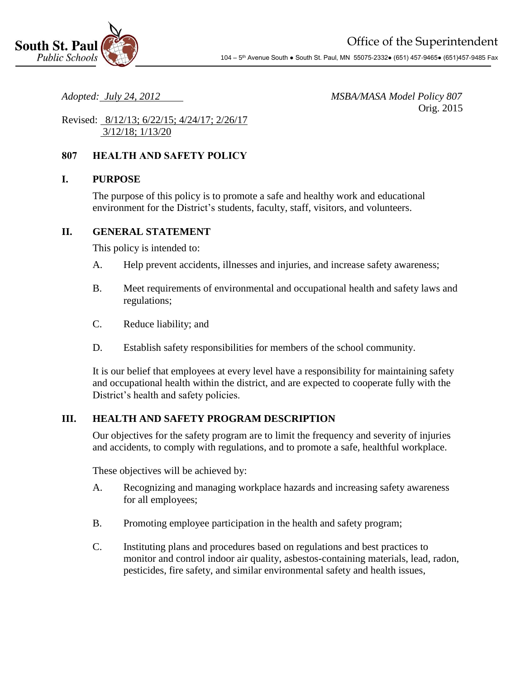

*Adopted: July 24, 2012 MSBA/MASA Model Policy 807* Orig. 2015

Revised: 8/12/13; 6/22/15; 4/24/17; 2/26/17 3/12/18; 1/13/20

# **807 HEALTH AND SAFETY POLICY**

### **I. PURPOSE**

The purpose of this policy is to promote a safe and healthy work and educational environment for the District's students, faculty, staff, visitors, and volunteers.

#### **II. GENERAL STATEMENT**

This policy is intended to:

- A. Help prevent accidents, illnesses and injuries, and increase safety awareness;
- B. Meet requirements of environmental and occupational health and safety laws and regulations;
- C. Reduce liability; and
- D. Establish safety responsibilities for members of the school community.

It is our belief that employees at every level have a responsibility for maintaining safety and occupational health within the district, and are expected to cooperate fully with the District's health and safety policies.

### **III. HEALTH AND SAFETY PROGRAM DESCRIPTION**

Our objectives for the safety program are to limit the frequency and severity of injuries and accidents, to comply with regulations, and to promote a safe, healthful workplace.

These objectives will be achieved by:

- A. Recognizing and managing workplace hazards and increasing safety awareness for all employees;
- B. Promoting employee participation in the health and safety program;
- C. Instituting plans and procedures based on regulations and best practices to monitor and control indoor air quality, asbestos-containing materials, lead, radon, pesticides, fire safety, and similar environmental safety and health issues,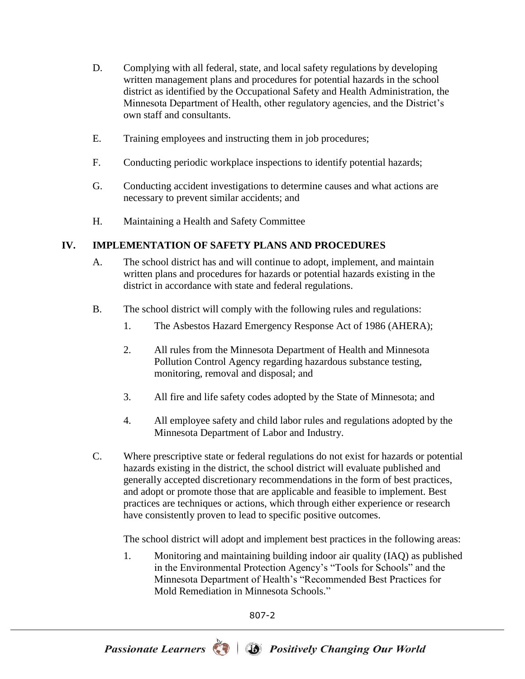- D. Complying with all federal, state, and local safety regulations by developing written management plans and procedures for potential hazards in the school district as identified by the Occupational Safety and Health Administration, the Minnesota Department of Health, other regulatory agencies, and the District's own staff and consultants.
- E. Training employees and instructing them in job procedures;
- F. Conducting periodic workplace inspections to identify potential hazards;
- G. Conducting accident investigations to determine causes and what actions are necessary to prevent similar accidents; and
- H. Maintaining a Health and Safety Committee

### **IV. IMPLEMENTATION OF SAFETY PLANS AND PROCEDURES**

- A. The school district has and will continue to adopt, implement, and maintain written plans and procedures for hazards or potential hazards existing in the district in accordance with state and federal regulations.
- B. The school district will comply with the following rules and regulations:
	- 1. The Asbestos Hazard Emergency Response Act of 1986 (AHERA);
	- 2. All rules from the Minnesota Department of Health and Minnesota Pollution Control Agency regarding hazardous substance testing, monitoring, removal and disposal; and
	- 3. All fire and life safety codes adopted by the State of Minnesota; and
	- 4. All employee safety and child labor rules and regulations adopted by the Minnesota Department of Labor and Industry.
- C. Where prescriptive state or federal regulations do not exist for hazards or potential hazards existing in the district, the school district will evaluate published and generally accepted discretionary recommendations in the form of best practices, and adopt or promote those that are applicable and feasible to implement. Best practices are techniques or actions, which through either experience or research have consistently proven to lead to specific positive outcomes.

The school district will adopt and implement best practices in the following areas:

1. Monitoring and maintaining building indoor air quality (IAQ) as published in the Environmental Protection Agency's "Tools for Schools" and the Minnesota Department of Health's "Recommended Best Practices for Mold Remediation in Minnesota Schools."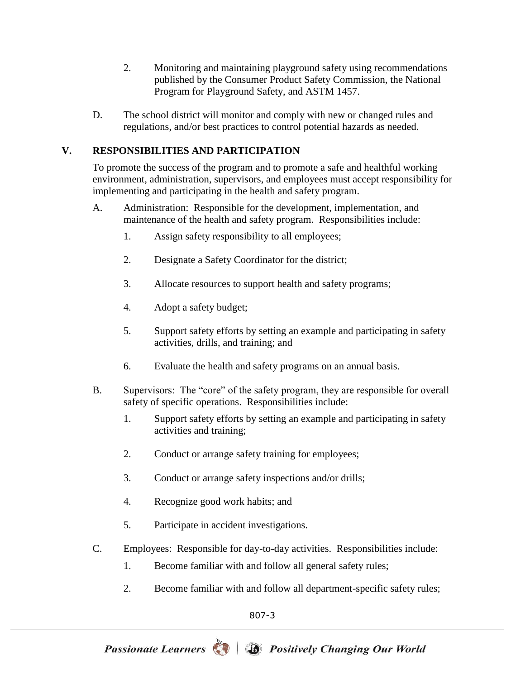- 2. Monitoring and maintaining playground safety using recommendations published by the Consumer Product Safety Commission, the National Program for Playground Safety, and ASTM 1457.
- D. The school district will monitor and comply with new or changed rules and regulations, and/or best practices to control potential hazards as needed.

# **V. RESPONSIBILITIES AND PARTICIPATION**

To promote the success of the program and to promote a safe and healthful working environment, administration, supervisors, and employees must accept responsibility for implementing and participating in the health and safety program.

- A. Administration: Responsible for the development, implementation, and maintenance of the health and safety program. Responsibilities include:
	- 1. Assign safety responsibility to all employees;
	- 2. Designate a Safety Coordinator for the district;
	- 3. Allocate resources to support health and safety programs;
	- 4. Adopt a safety budget;
	- 5. Support safety efforts by setting an example and participating in safety activities, drills, and training; and
	- 6. Evaluate the health and safety programs on an annual basis.
- B. Supervisors: The "core" of the safety program, they are responsible for overall safety of specific operations. Responsibilities include:
	- 1. Support safety efforts by setting an example and participating in safety activities and training;
	- 2. Conduct or arrange safety training for employees;
	- 3. Conduct or arrange safety inspections and/or drills;
	- 4. Recognize good work habits; and
	- 5. Participate in accident investigations.
- C. Employees: Responsible for day-to-day activities. Responsibilities include:
	- 1. Become familiar with and follow all general safety rules;
	- 2. Become familiar with and follow all department-specific safety rules;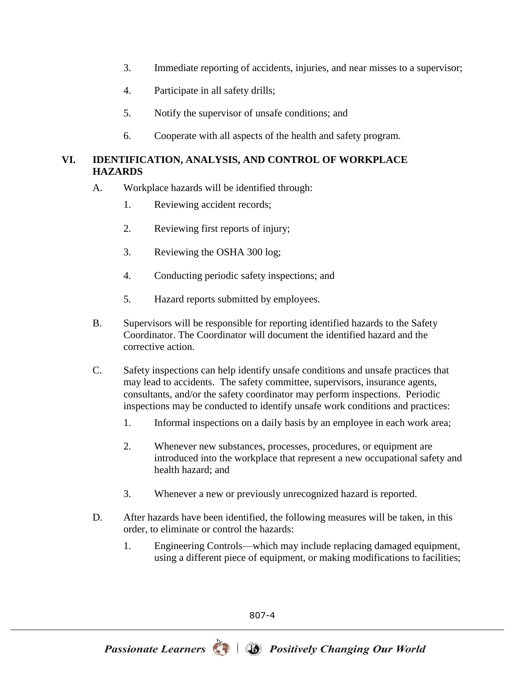- 3. Immediate reporting of accidents, injuries, and near misses to a supervisor;
- 4. Participate in all safety drills;
- 5. Notify the supervisor of unsafe conditions; and
- 6. Cooperate with all aspects of the health and safety program.

# **VI. IDENTIFICATION, ANALYSIS, AND CONTROL OF WORKPLACE HAZARDS**

- A. Workplace hazards will be identified through:
	- 1. Reviewing accident records;
	- 2. Reviewing first reports of injury;
	- 3. Reviewing the OSHA 300 log;
	- 4. Conducting periodic safety inspections; and
	- 5. Hazard reports submitted by employees.
- B. Supervisors will be responsible for reporting identified hazards to the Safety Coordinator. The Coordinator will document the identified hazard and the corrective action.
- C. Safety inspections can help identify unsafe conditions and unsafe practices that may lead to accidents. The safety committee, supervisors, insurance agents, consultants, and/or the safety coordinator may perform inspections. Periodic inspections may be conducted to identify unsafe work conditions and practices:
	- 1. Informal inspections on a daily basis by an employee in each work area;
	- 2. Whenever new substances, processes, procedures, or equipment are introduced into the workplace that represent a new occupational safety and health hazard; and
	- 3. Whenever a new or previously unrecognized hazard is reported.
- D. After hazards have been identified, the following measures will be taken, in this order, to eliminate or control the hazards:
	- 1. Engineering Controls—which may include replacing damaged equipment, using a different piece of equipment, or making modifications to facilities;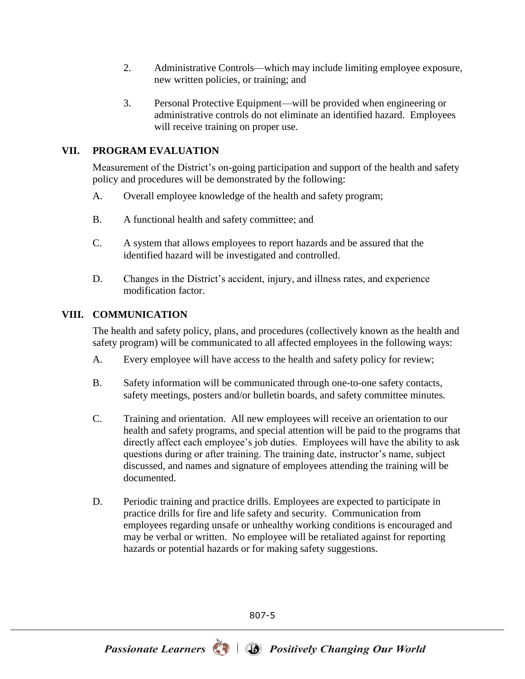- 2. Administrative Controls—which may include limiting employee exposure, new written policies, or training; and
- 3. Personal Protective Equipment—will be provided when engineering or administrative controls do not eliminate an identified hazard. Employees will receive training on proper use.

# **VII. PROGRAM EVALUATION**

Measurement of the District's on-going participation and support of the health and safety policy and procedures will be demonstrated by the following:

- A. Overall employee knowledge of the health and safety program;
- B. A functional health and safety committee; and
- C. A system that allows employees to report hazards and be assured that the identified hazard will be investigated and controlled.
- D. Changes in the District's accident, injury, and illness rates, and experience modification factor.

### **VIII. COMMUNICATION**

The health and safety policy, plans, and procedures (collectively known as the health and safety program) will be communicated to all affected employees in the following ways:

- A. Every employee will have access to the health and safety policy for review;
- B. Safety information will be communicated through one-to-one safety contacts, safety meetings, posters and/or bulletin boards, and safety committee minutes.
- C. Training and orientation. All new employees will receive an orientation to our health and safety programs, and special attention will be paid to the programs that directly affect each employee's job duties. Employees will have the ability to ask questions during or after training. The training date, instructor's name, subject discussed, and names and signature of employees attending the training will be documented.
- D. Periodic training and practice drills. Employees are expected to participate in practice drills for fire and life safety and security. Communication from employees regarding unsafe or unhealthy working conditions is encouraged and may be verbal or written. No employee will be retaliated against for reporting hazards or potential hazards or for making safety suggestions.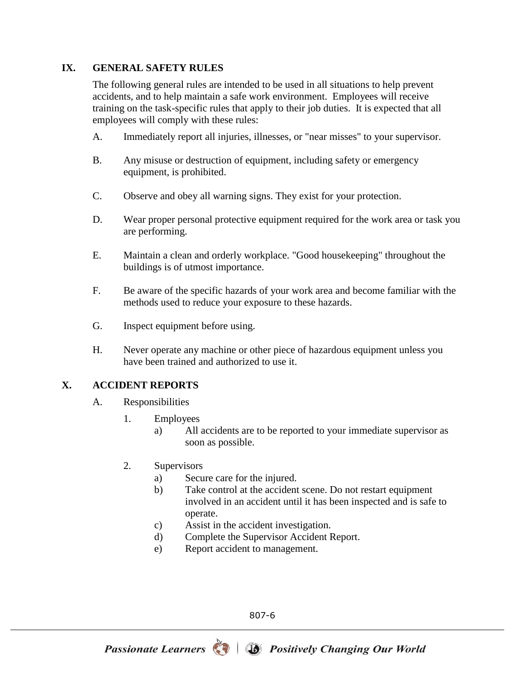### **IX. GENERAL SAFETY RULES**

The following general rules are intended to be used in all situations to help prevent accidents, and to help maintain a safe work environment. Employees will receive training on the task-specific rules that apply to their job duties. It is expected that all employees will comply with these rules:

- A. Immediately report all injuries, illnesses, or "near misses" to your supervisor.
- B. Any misuse or destruction of equipment, including safety or emergency equipment, is prohibited.
- C. Observe and obey all warning signs. They exist for your protection.
- D. Wear proper personal protective equipment required for the work area or task you are performing.
- E. Maintain a clean and orderly workplace. "Good housekeeping" throughout the buildings is of utmost importance.
- F. Be aware of the specific hazards of your work area and become familiar with the methods used to reduce your exposure to these hazards.
- G. Inspect equipment before using.
- H. Never operate any machine or other piece of hazardous equipment unless you have been trained and authorized to use it.

# **X. ACCIDENT REPORTS**

- A. Responsibilities
	- 1. Employees
		- a) All accidents are to be reported to your immediate supervisor as soon as possible.
	- 2. Supervisors
		- a) Secure care for the injured.
		- b) Take control at the accident scene. Do not restart equipment involved in an accident until it has been inspected and is safe to operate.
		- c) Assist in the accident investigation.
		- d) Complete the Supervisor Accident Report.
		- e) Report accident to management.